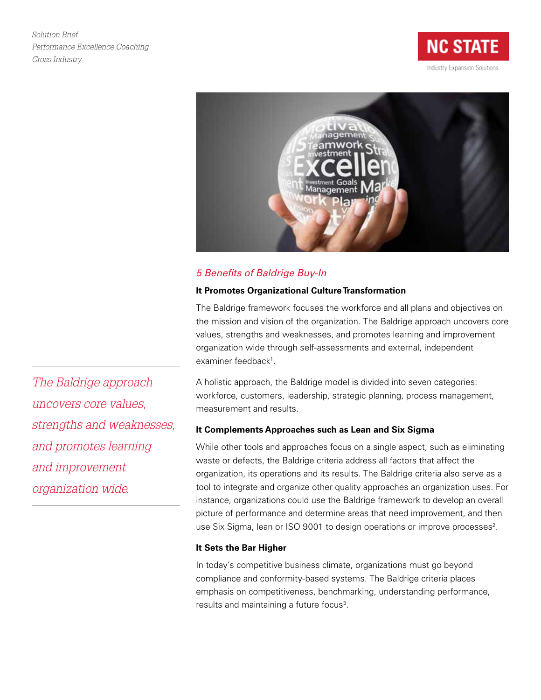*Solution Brief Performance Excellence Coaching Cross Industry*





# *5 Benefits of Baldrige Buy-In*

## **It Promotes Organizational Culture Transformation**

The Baldrige framework focuses the workforce and all plans and objectives on the mission and vision of the organization. The Baldrige approach uncovers core values, strengths and weaknesses, and promotes learning and improvement organization wide through self-assessments and external, independent examiner feedback<sup>1</sup>.

*The Baldrige approach uncovers core values, strengths and weaknesses, and promotes learning and improvement organization wide.*

A holistic approach, the Baldrige model is divided into seven categories: workforce, customers, leadership, strategic planning, process management, measurement and results.

## **It Complements Approaches such as Lean and Six Sigma**

While other tools and approaches focus on a single aspect, such as eliminating waste or defects, the Baldrige criteria address all factors that affect the organization, its operations and its results. The Baldrige criteria also serve as a tool to integrate and organize other quality approaches an organization uses. For instance, organizations could use the Baldrige framework to develop an overall picture of performance and determine areas that need improvement, and then use Six Sigma, lean or ISO 9001 to design operations or improve processes<sup>2</sup>.

### **It Sets the Bar Higher**

In today's competitive business climate, organizations must go beyond compliance and conformity-based systems. The Baldrige criteria places emphasis on competitiveness, benchmarking, understanding performance, results and maintaining a future focus<sup>3</sup>.